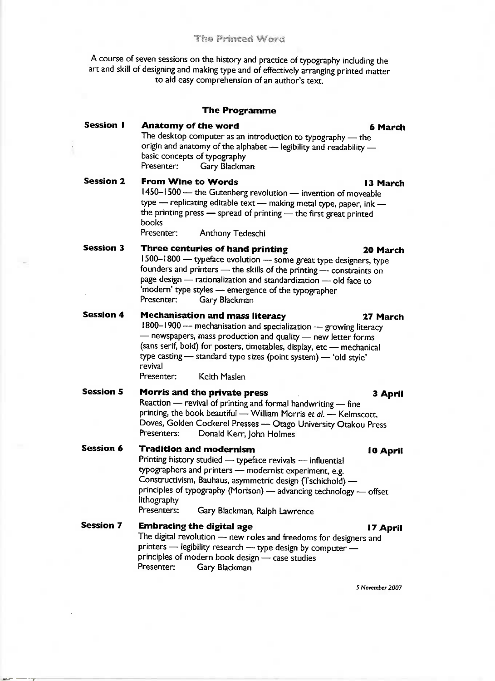## **The Printed Word**

A course of seven sessions on the history and practice of typography including the art and skill of designing and making type and of effectively arranging printed matter to aid easy comprehension of an author's text.

| <b>The Programme</b> |                                                                                                                                                                                                                                                                                                                                                                             |
|----------------------|-----------------------------------------------------------------------------------------------------------------------------------------------------------------------------------------------------------------------------------------------------------------------------------------------------------------------------------------------------------------------------|
| <b>Session I</b>     | <b>Anatomy of the word</b><br>6 March<br>The desktop computer as an introduction to typography - the<br>origin and anatomy of the alphabet - legibility and readability -<br>basic concepts of typography<br>Presenter:<br>Gary Blackman                                                                                                                                    |
| <b>Session 2</b>     | <b>From Wine to Words</b><br>13 March<br>1450-1500 - the Gutenberg revolution - invention of moveable<br>type - replicating editable text - making metal type, paper, ink -<br>the printing press - spread of printing - the first great printed<br>books<br>Presenter:<br>Anthony Tedeschi                                                                                 |
| <b>Session 3</b>     | Three centuries of hand printing<br>20 March<br>1500-1800 - typeface evolution - some great type designers, type<br>founders and printers - the skills of the printing - constraints on<br>page design — rationalization and standardization — old face to<br>'modern' type styles - emergence of the typographer<br>Gary Blackman<br>Presenter:                            |
| <b>Session 4</b>     | <b>Mechanisation and mass literacy</b><br>27 March<br>1800-1900 -- mechanisation and specialization - growing literacy<br>- newspapers, mass production and quality - new letter forms<br>(sans serif, bold) for posters, timetables, display, etc - mechanical<br>type casting - standard type sizes (point system) - 'old style'<br>revival<br>Presenter:<br>Keith Maslen |
| <b>Session 5</b>     | Morris and the private press<br>3 April<br>Reaction - revival of printing and formal handwriting - fine<br>printing, the book beautiful — William Morris et al. — Kelmscott,<br>Doves, Golden Cockerel Presses - Otago University Otakou Press<br>Presenters:<br>Donald Kerr, John Holmes                                                                                   |
| <b>Session 6</b>     | <b>Tradition and modernism</b><br>10 April<br>Printing history studied - typeface revivals - influential<br>typographers and printers - modernist experiment, e.g.<br>Constructivism, Bauhaus, asymmetric design (Tschichold) -<br>principles of typography (Morison) - advancing technology - offset<br>lithography<br>Presenters:<br>Gary Blackman, Ralph Lawrence        |
| <b>Session 7</b>     | <b>Embracing the digital age</b><br>17 April<br>The digital revolution - new roles and freedoms for designers and<br>printers - legibility research - type design by computer -<br>principles of modern book design - case studies<br>Presenter:<br>Gary Blackman                                                                                                           |

**5 November 2007**